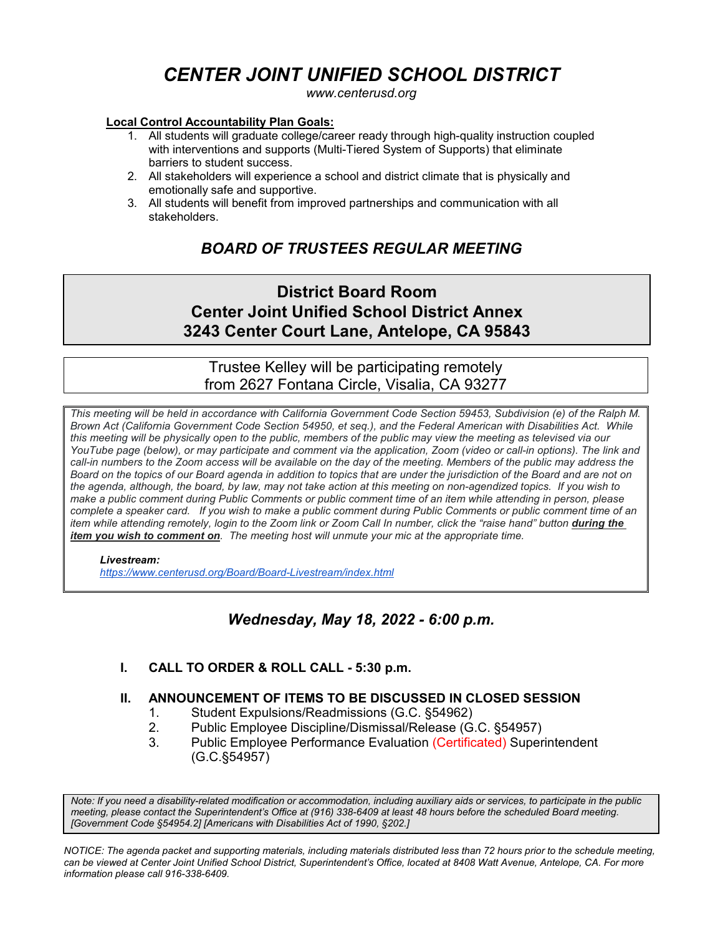# *CENTER JOINT UNIFIED SCHOOL DISTRICT*

*www.centerusd.org*

# **Local Control Accountability Plan Goals:**

- 1. All students will graduate college/career ready through high-quality instruction coupled with interventions and supports (Multi-Tiered System of Supports) that eliminate barriers to student success.
- 2. All stakeholders will experience a school and district climate that is physically and emotionally safe and supportive.
- 3. All students will benefit from improved partnerships and communication with all stakeholders.

# *BOARD OF TRUSTEES REGULAR MEETING*

# **District Board Room Center Joint Unified School District Annex 3243 Center Court Lane, Antelope, CA 95843**

# Trustee Kelley will be participating remotely from 2627 Fontana Circle, Visalia, CA 93277

*This meeting will be held in accordance with California Government Code Section 59453, Subdivision (e) of the Ralph M. Brown Act (California Government Code Section 54950, et seq.), and the Federal American with Disabilities Act. While this meeting will be physically open to the public, members of the public may view the meeting as televised via our YouTube page (below), or may participate and comment via the application, Zoom (video or call-in options). The link and call-in numbers to the Zoom access will be available on the day of the meeting. Members of the public may address the Board on the topics of our Board agenda in addition to topics that are under the jurisdiction of the Board and are not on the agenda, although, the board, by law, may not take action at this meeting on non-agendized topics. If you wish to make a public comment during Public Comments or public comment time of an item while attending in person, please complete a speaker card. If you wish to make a public comment during Public Comments or public comment time of an item while attending remotely, login to the Zoom link or Zoom Call In number, click the "raise hand" button during the item you wish to comment on. The meeting host will unmute your mic at the appropriate time.*

# *Livestream:*

 *<https://www.centerusd.org/Board/Board-Livestream/index.html>*

# *Wednesday, May 18, 2022 - 6:00 p.m.*

# **I. CALL TO ORDER & ROLL CALL - 5:30 p.m.**

# **II. ANNOUNCEMENT OF ITEMS TO BE DISCUSSED IN CLOSED SESSION**

- 1. Student Expulsions/Readmissions (G.C. §54962)
- 2. Public Employee Discipline/Dismissal/Release (G.C. §54957)
- 3. Public Employee Performance Evaluation (Certificated) Superintendent (G.C.§54957)

*Note: If you need a disability-related modification or accommodation, including auxiliary aids or services, to participate in the public meeting, please contact the Superintendent's Office at (916) 338-6409 at least 48 hours before the scheduled Board meeting. [Government Code §54954.2] [Americans with Disabilities Act of 1990, §202.]*

*NOTICE: The agenda packet and supporting materials, including materials distributed less than 72 hours prior to the schedule meeting, can be viewed at Center Joint Unified School District, Superintendent's Office, located at 8408 Watt Avenue, Antelope, CA. For more information please call 916-338-6409.*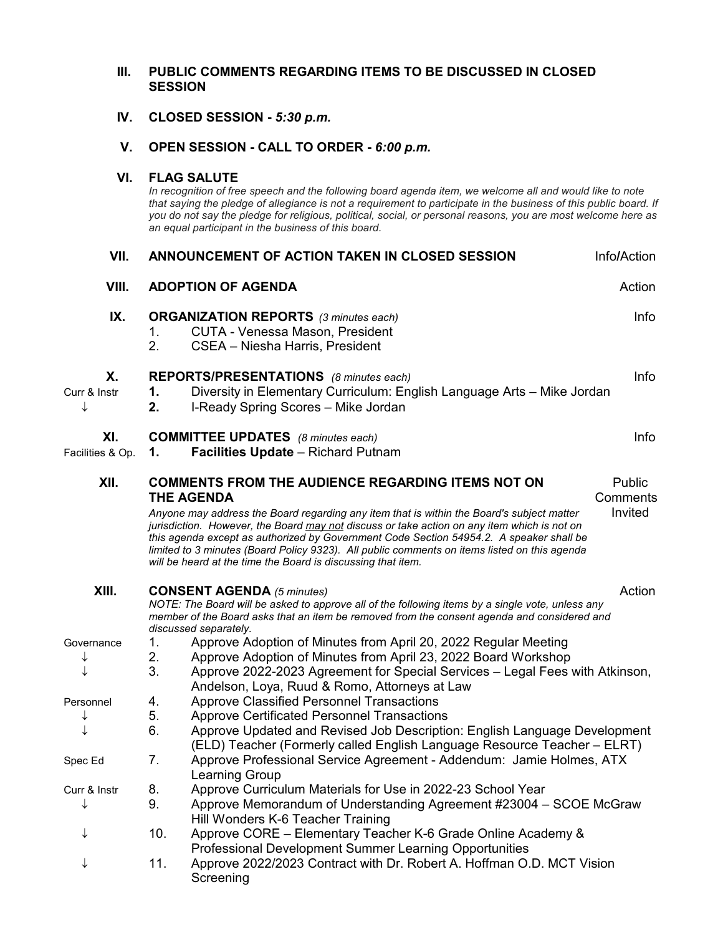# **III. PUBLIC COMMENTS REGARDING ITEMS TO BE DISCUSSED IN CLOSED SESSION**

 **IV. CLOSED SESSION -** *5:30 p.m.*

# **V. OPEN SESSION - CALL TO ORDER -** *6:00 p.m.*

# **VI. FLAG SALUTE**

*In recognition of free speech and the following board agenda item, we welcome all and would like to note that saying the pledge of allegiance is not a requirement to participate in the business of this public board. If you do not say the pledge for religious, political, social, or personal reasons, you are most welcome here as an equal participant in the business of this board.*

| VII.                    | ANNOUNCEMENT OF ACTION TAKEN IN CLOSED SESSION<br>Info/Action |                                                                                                                                                                                                                                                                                                                                                                                                                                                                                                                                      |                               |  |  |  |
|-------------------------|---------------------------------------------------------------|--------------------------------------------------------------------------------------------------------------------------------------------------------------------------------------------------------------------------------------------------------------------------------------------------------------------------------------------------------------------------------------------------------------------------------------------------------------------------------------------------------------------------------------|-------------------------------|--|--|--|
| VIII.                   | <b>ADOPTION OF AGENDA</b><br>Action                           |                                                                                                                                                                                                                                                                                                                                                                                                                                                                                                                                      |                               |  |  |  |
| IX.                     | 1.<br>2.                                                      | <b>ORGANIZATION REPORTS</b> (3 minutes each)<br><b>CUTA - Venessa Mason, President</b><br>CSEA - Niesha Harris, President                                                                                                                                                                                                                                                                                                                                                                                                            | Info                          |  |  |  |
| Χ.<br>Curr & Instr<br>↓ | 1.<br>2.                                                      | <b>REPORTS/PRESENTATIONS</b> (8 minutes each)<br>Diversity in Elementary Curriculum: English Language Arts - Mike Jordan<br>I-Ready Spring Scores - Mike Jordan                                                                                                                                                                                                                                                                                                                                                                      | Info                          |  |  |  |
| XI.<br>Facilities & Op. | 1.                                                            | <b>COMMITTEE UPDATES</b> (8 minutes each)<br><b>Facilities Update</b> - Richard Putnam                                                                                                                                                                                                                                                                                                                                                                                                                                               | Info                          |  |  |  |
| XII.                    |                                                               | <b>COMMENTS FROM THE AUDIENCE REGARDING ITEMS NOT ON</b><br><b>THE AGENDA</b><br>Anyone may address the Board regarding any item that is within the Board's subject matter<br>jurisdiction. However, the Board may not discuss or take action on any item which is not on<br>this agenda except as authorized by Government Code Section 54954.2. A speaker shall be<br>limited to 3 minutes (Board Policy 9323). All public comments on items listed on this agenda<br>will be heard at the time the Board is discussing that item. | Public<br>Comments<br>Invited |  |  |  |
| XIII.                   |                                                               | Action<br><b>CONSENT AGENDA</b> (5 minutes)<br>NOTE: The Board will be asked to approve all of the following items by a single vote, unless any<br>member of the Board asks that an item be removed from the consent agenda and considered and<br>discussed separately.                                                                                                                                                                                                                                                              |                               |  |  |  |
| Governance<br>↓         | 1.<br>2.<br>3.                                                | Approve Adoption of Minutes from April 20, 2022 Regular Meeting<br>Approve Adoption of Minutes from April 23, 2022 Board Workshop<br>Approve 2022-2023 Agreement for Special Services - Legal Fees with Atkinson,<br>Andelson, Loya, Ruud & Romo, Attorneys at Law                                                                                                                                                                                                                                                                   |                               |  |  |  |
| Personnel<br>↓          | 4.<br>5.<br>6.                                                | <b>Approve Classified Personnel Transactions</b><br><b>Approve Certificated Personnel Transactions</b><br>Approve Updated and Revised Job Description: English Language Development<br>(ELD) Teacher (Formerly called English Language Resource Teacher - ELRT)                                                                                                                                                                                                                                                                      |                               |  |  |  |
| Spec Ed                 | 7.                                                            | Approve Professional Service Agreement - Addendum: Jamie Holmes, ATX<br>Learning Group                                                                                                                                                                                                                                                                                                                                                                                                                                               |                               |  |  |  |
| Curr & Instr            | 8.<br>9.                                                      | Approve Curriculum Materials for Use in 2022-23 School Year<br>Approve Memorandum of Understanding Agreement #23004 - SCOE McGraw<br>Hill Wonders K-6 Teacher Training                                                                                                                                                                                                                                                                                                                                                               |                               |  |  |  |
|                         | 10.                                                           | Approve CORE - Elementary Teacher K-6 Grade Online Academy &<br>Professional Development Summer Learning Opportunities                                                                                                                                                                                                                                                                                                                                                                                                               |                               |  |  |  |
|                         | 11.                                                           | Approve 2022/2023 Contract with Dr. Robert A. Hoffman O.D. MCT Vision<br>Screening                                                                                                                                                                                                                                                                                                                                                                                                                                                   |                               |  |  |  |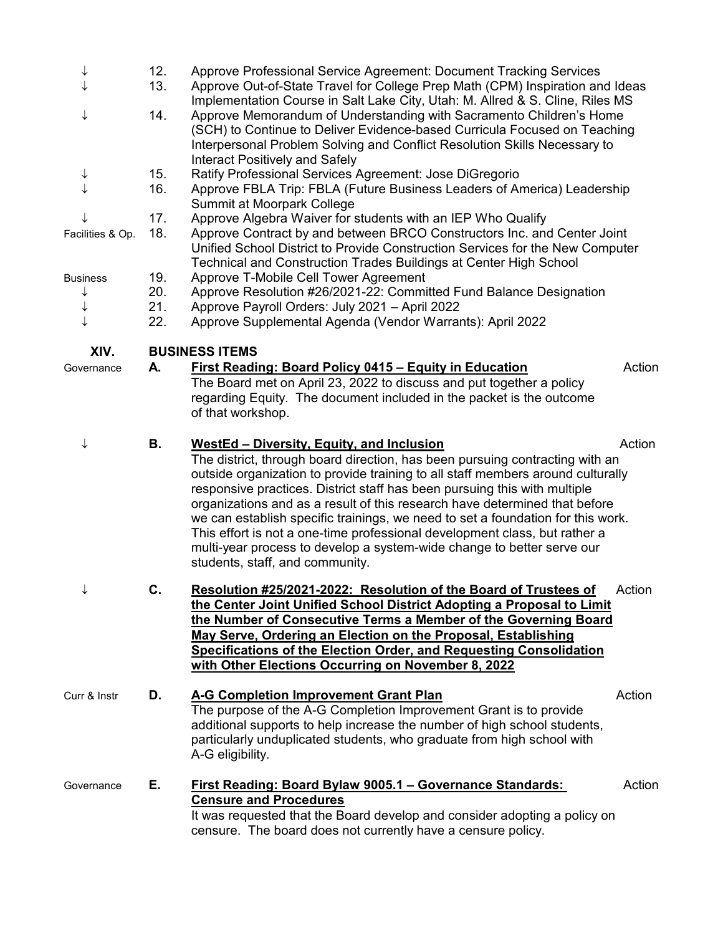| ↓                | 12. | Approve Professional Service Agreement: Document Tracking Services                                                                                                                                                                                                                                                                                                                                                                                                                                                                                                                                                                                           |        |  |
|------------------|-----|--------------------------------------------------------------------------------------------------------------------------------------------------------------------------------------------------------------------------------------------------------------------------------------------------------------------------------------------------------------------------------------------------------------------------------------------------------------------------------------------------------------------------------------------------------------------------------------------------------------------------------------------------------------|--------|--|
|                  | 13. | Approve Out-of-State Travel for College Prep Math (CPM) Inspiration and Ideas<br>Implementation Course in Salt Lake City, Utah: M. Allred & S. Cline, Riles MS                                                                                                                                                                                                                                                                                                                                                                                                                                                                                               |        |  |
|                  | 14. | Approve Memorandum of Understanding with Sacramento Children's Home<br>(SCH) to Continue to Deliver Evidence-based Curricula Focused on Teaching<br>Interpersonal Problem Solving and Conflict Resolution Skills Necessary to<br><b>Interact Positively and Safely</b>                                                                                                                                                                                                                                                                                                                                                                                       |        |  |
| ↓                | 15. | Ratify Professional Services Agreement: Jose DiGregorio                                                                                                                                                                                                                                                                                                                                                                                                                                                                                                                                                                                                      |        |  |
| $\downarrow$     | 16. | Approve FBLA Trip: FBLA (Future Business Leaders of America) Leadership<br>Summit at Moorpark College                                                                                                                                                                                                                                                                                                                                                                                                                                                                                                                                                        |        |  |
| ↓                | 17. | Approve Algebra Waiver for students with an IEP Who Qualify                                                                                                                                                                                                                                                                                                                                                                                                                                                                                                                                                                                                  |        |  |
| Facilities & Op. | 18. | Approve Contract by and between BRCO Constructors Inc. and Center Joint<br>Unified School District to Provide Construction Services for the New Computer<br>Technical and Construction Trades Buildings at Center High School                                                                                                                                                                                                                                                                                                                                                                                                                                |        |  |
| <b>Business</b>  | 19. | Approve T-Mobile Cell Tower Agreement                                                                                                                                                                                                                                                                                                                                                                                                                                                                                                                                                                                                                        |        |  |
| ↓                | 20. | Approve Resolution #26/2021-22: Committed Fund Balance Designation                                                                                                                                                                                                                                                                                                                                                                                                                                                                                                                                                                                           |        |  |
| ↓<br>↓           | 21. | Approve Payroll Orders: July 2021 - April 2022                                                                                                                                                                                                                                                                                                                                                                                                                                                                                                                                                                                                               |        |  |
|                  | 22. | Approve Supplemental Agenda (Vendor Warrants): April 2022                                                                                                                                                                                                                                                                                                                                                                                                                                                                                                                                                                                                    |        |  |
| XIV.             |     | <b>BUSINESS ITEMS</b>                                                                                                                                                                                                                                                                                                                                                                                                                                                                                                                                                                                                                                        |        |  |
| Governance       | А.  | <b>First Reading: Board Policy 0415 - Equity in Education</b><br>The Board met on April 23, 2022 to discuss and put together a policy<br>regarding Equity. The document included in the packet is the outcome<br>of that workshop.                                                                                                                                                                                                                                                                                                                                                                                                                           | Action |  |
| ↓                | В.  | <b>WestEd - Diversity, Equity, and Inclusion</b><br>The district, through board direction, has been pursuing contracting with an<br>outside organization to provide training to all staff members around culturally<br>responsive practices. District staff has been pursuing this with multiple<br>organizations and as a result of this research have determined that before<br>we can establish specific trainings, we need to set a foundation for this work.<br>This effort is not a one-time professional development class, but rather a<br>multi-year process to develop a system-wide change to better serve our<br>students, staff, and community. | Action |  |
|                  | C.  | Resolution #25/2021-2022: Resolution of the Board of Trustees of<br>the Center Joint Unified School District Adopting a Proposal to Limit<br>the Number of Consecutive Terms a Member of the Governing Board<br>May Serve, Ordering an Election on the Proposal, Establishing<br>Specifications of the Election Order, and Requesting Consolidation<br>with Other Elections Occurring on November 8, 2022                                                                                                                                                                                                                                                    | Action |  |
| Curr & Instr     | D.  | A-G Completion Improvement Grant Plan<br>The purpose of the A-G Completion Improvement Grant is to provide<br>additional supports to help increase the number of high school students,<br>particularly unduplicated students, who graduate from high school with<br>A-G eligibility.                                                                                                                                                                                                                                                                                                                                                                         | Action |  |
| Governance       | Е.  | First Reading: Board Bylaw 9005.1 - Governance Standards:<br><b>Censure and Procedures</b><br>It was requested that the Board develop and consider adopting a policy on<br>censure. The board does not currently have a censure policy.                                                                                                                                                                                                                                                                                                                                                                                                                      | Action |  |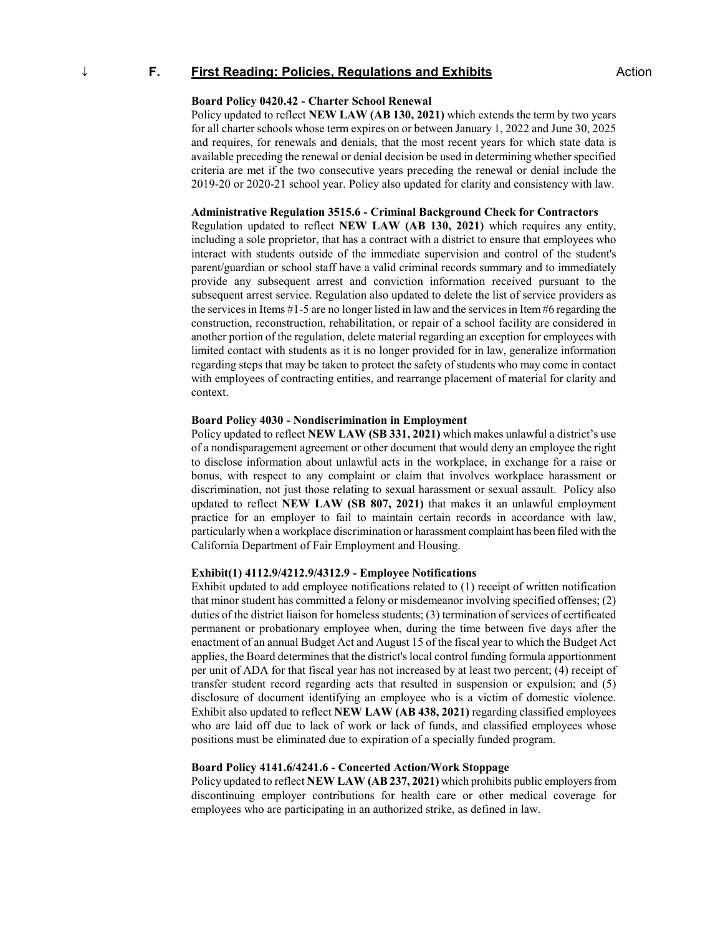# ↓ **F. First Reading: Policies, Regulations and Exhibits** Action

# **Board Policy 0420.42 - Charter School Renewal**

Policy updated to reflect **NEW LAW (AB 130, 2021)** which extends the term by two years for all charter schools whose term expires on or between January 1, 2022 and June 30, 2025 and requires, for renewals and denials, that the most recent years for which state data is available preceding the renewal or denial decision be used in determining whether specified criteria are met if the two consecutive years preceding the renewal or denial include the 2019-20 or 2020-21 school year. Policy also updated for clarity and consistency with law.

## **Administrative Regulation 3515.6 - Criminal Background Check for Contractors**

Regulation updated to reflect **NEW LAW (AB 130, 2021)** which requires any entity, including a sole proprietor, that has a contract with a district to ensure that employees who interact with students outside of the immediate supervision and control of the student's parent/guardian or school staff have a valid criminal records summary and to immediately provide any subsequent arrest and conviction information received pursuant to the subsequent arrest service. Regulation also updated to delete the list of service providers as the services in Items #1-5 are no longer listed in law and the services in Item #6 regarding the construction, reconstruction, rehabilitation, or repair of a school facility are considered in another portion of the regulation, delete material regarding an exception for employees with limited contact with students as it is no longer provided for in law, generalize information regarding steps that may be taken to protect the safety of students who may come in contact with employees of contracting entities, and rearrange placement of material for clarity and context.

## **Board Policy 4030 - Nondiscrimination in Employment**

Policy updated to reflect **NEW LAW (SB 331, 2021)** which makes unlawful a district's use of a nondisparagement agreement or other document that would deny an employee the right to disclose information about unlawful acts in the workplace, in exchange for a raise or bonus, with respect to any complaint or claim that involves workplace harassment or discrimination, not just those relating to sexual harassment or sexual assault. Policy also updated to reflect **NEW LAW (SB 807, 2021)** that makes it an unlawful employment practice for an employer to fail to maintain certain records in accordance with law, particularly when a workplace discrimination or harassment complaint has been filed with the California Department of Fair Employment and Housing.

#### **Exhibit(1) 4112.9/4212.9/4312.9 - Employee Notifications**

Exhibit updated to add employee notifications related to (1) receipt of written notification that minor student has committed a felony or misdemeanor involving specified offenses; (2) duties of the district liaison for homeless students; (3) termination of services of certificated permanent or probationary employee when, during the time between five days after the enactment of an annual Budget Act and August 15 of the fiscal year to which the Budget Act applies, the Board determines that the district's local control funding formula apportionment per unit of ADA for that fiscal year has not increased by at least two percent; (4) receipt of transfer student record regarding acts that resulted in suspension or expulsion; and (5) disclosure of document identifying an employee who is a victim of domestic violence. Exhibit also updated to reflect **NEW LAW (AB 438, 2021)** regarding classified employees who are laid off due to lack of work or lack of funds, and classified employees whose positions must be eliminated due to expiration of a specially funded program.

#### **Board Policy 4141.6/4241.6 - Concerted Action/Work Stoppage**

Policy updated to reflect **NEW LAW (AB 237, 2021)** which prohibits public employers from discontinuing employer contributions for health care or other medical coverage for employees who are participating in an authorized strike, as defined in law.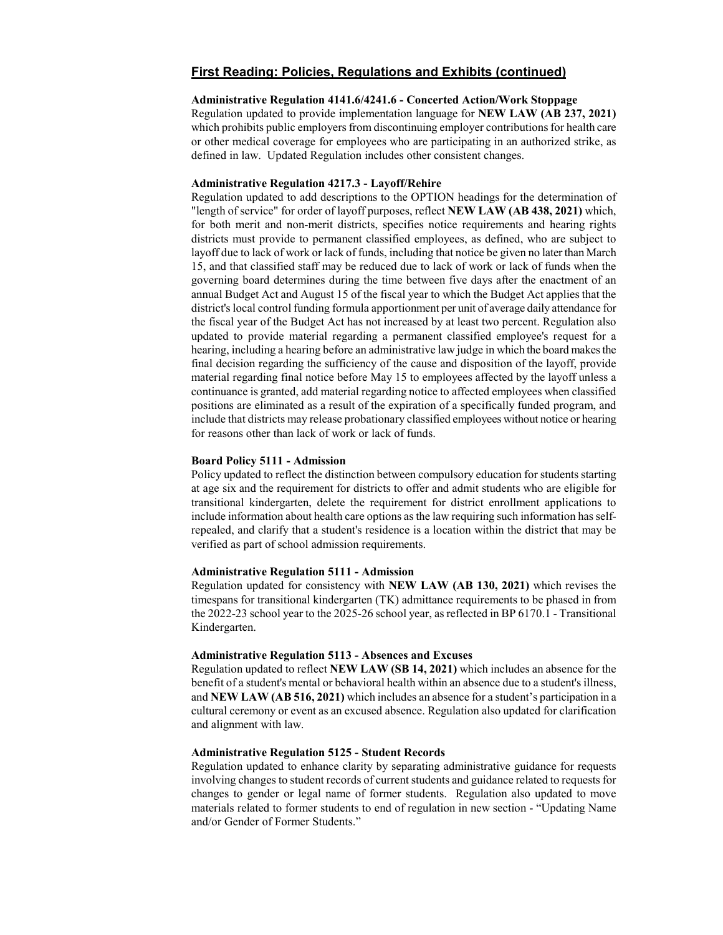# **Administrative Regulation 4141.6/4241.6 - Concerted Action/Work Stoppage**

Regulation updated to provide implementation language for **NEW LAW (AB 237, 2021)** which prohibits public employers from discontinuing employer contributions for health care or other medical coverage for employees who are participating in an authorized strike, as defined in law. Updated Regulation includes other consistent changes.

#### **Administrative Regulation 4217.3 - Layoff/Rehire**

Regulation updated to add descriptions to the OPTION headings for the determination of "length of service" for order of layoff purposes, reflect **NEW LAW (AB 438, 2021)** which, for both merit and non-merit districts, specifies notice requirements and hearing rights districts must provide to permanent classified employees, as defined, who are subject to layoff due to lack of work or lack of funds, including that notice be given no later than March 15, and that classified staff may be reduced due to lack of work or lack of funds when the governing board determines during the time between five days after the enactment of an annual Budget Act and August 15 of the fiscal year to which the Budget Act applies that the district's local control funding formula apportionment per unit of average daily attendance for the fiscal year of the Budget Act has not increased by at least two percent. Regulation also updated to provide material regarding a permanent classified employee's request for a hearing, including a hearing before an administrative law judge in which the board makes the final decision regarding the sufficiency of the cause and disposition of the layoff, provide material regarding final notice before May 15 to employees affected by the layoff unless a continuance is granted, add material regarding notice to affected employees when classified positions are eliminated as a result of the expiration of a specifically funded program, and include that districts may release probationary classified employees without notice or hearing for reasons other than lack of work or lack of funds.

#### **Board Policy 5111 - Admission**

Policy updated to reflect the distinction between compulsory education for students starting at age six and the requirement for districts to offer and admit students who are eligible for transitional kindergarten, delete the requirement for district enrollment applications to include information about health care options as the law requiring such information has selfrepealed, and clarify that a student's residence is a location within the district that may be verified as part of school admission requirements.

# **Administrative Regulation 5111 - Admission**

Regulation updated for consistency with **NEW LAW (AB 130, 2021)** which revises the timespans for transitional kindergarten (TK) admittance requirements to be phased in from the 2022-23 school year to the 2025-26 school year, as reflected in BP 6170.1 - Transitional Kindergarten.

# **Administrative Regulation 5113 - Absences and Excuses**

Regulation updated to reflect **NEW LAW (SB 14, 2021)** which includes an absence for the benefit of a student's mental or behavioral health within an absence due to a student's illness, and **NEW LAW (AB 516, 2021)** which includes an absence for a student's participation in a cultural ceremony or event as an excused absence. Regulation also updated for clarification and alignment with law.

# **Administrative Regulation 5125 - Student Records**

Regulation updated to enhance clarity by separating administrative guidance for requests involving changes to student records of current students and guidance related to requests for changes to gender or legal name of former students. Regulation also updated to move materials related to former students to end of regulation in new section - "Updating Name and/or Gender of Former Students."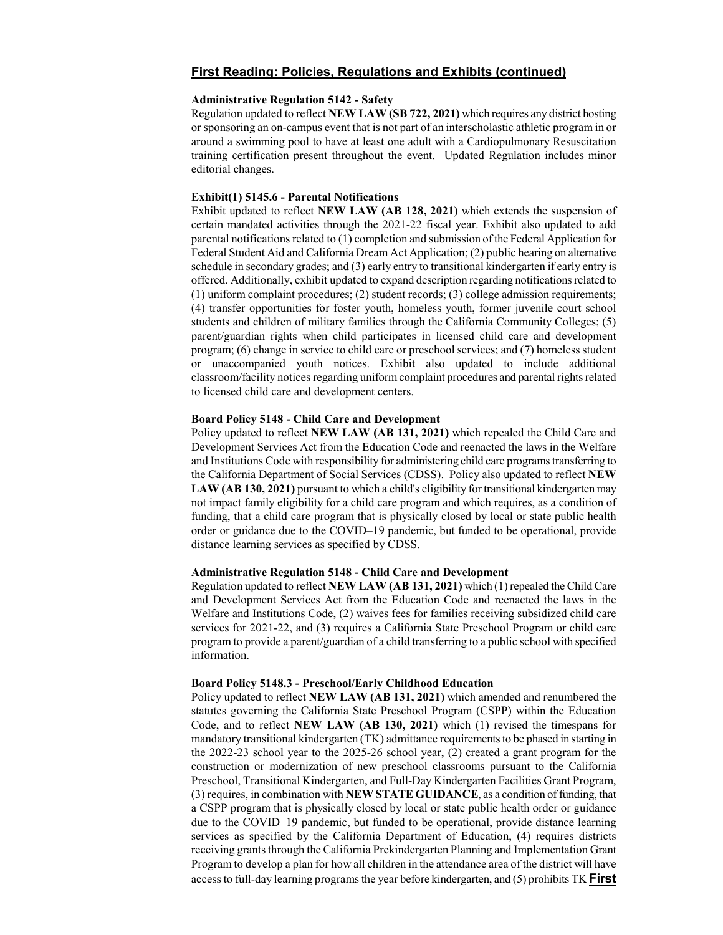#### **Administrative Regulation 5142 - Safety**

Regulation updated to reflect **NEW LAW (SB 722, 2021)** which requires any district hosting or sponsoring an on-campus event that is not part of an interscholastic athletic program in or around a swimming pool to have at least one adult with a Cardiopulmonary Resuscitation training certification present throughout the event. Updated Regulation includes minor editorial changes.

# **Exhibit(1) 5145.6 - Parental Notifications**

Exhibit updated to reflect **NEW LAW (AB 128, 2021)** which extends the suspension of certain mandated activities through the 2021-22 fiscal year. Exhibit also updated to add parental notifications related to (1) completion and submission of the Federal Application for Federal Student Aid and California Dream Act Application; (2) public hearing on alternative schedule in secondary grades; and (3) early entry to transitional kindergarten if early entry is offered. Additionally, exhibit updated to expand description regarding notifications related to (1) uniform complaint procedures; (2) student records; (3) college admission requirements; (4) transfer opportunities for foster youth, homeless youth, former juvenile court school students and children of military families through the California Community Colleges; (5) parent/guardian rights when child participates in licensed child care and development program; (6) change in service to child care or preschool services; and (7) homeless student or unaccompanied youth notices. Exhibit also updated to include additional classroom/facility notices regarding uniform complaint procedures and parental rights related to licensed child care and development centers.

# **Board Policy 5148 - Child Care and Development**

Policy updated to reflect **NEW LAW (AB 131, 2021)** which repealed the Child Care and Development Services Act from the Education Code and reenacted the laws in the Welfare and Institutions Code with responsibility for administering child care programs transferring to the California Department of Social Services (CDSS). Policy also updated to reflect **NEW LAW (AB 130, 2021)** pursuant to which a child's eligibility for transitional kindergarten may not impact family eligibility for a child care program and which requires, as a condition of funding, that a child care program that is physically closed by local or state public health order or guidance due to the COVID–19 pandemic, but funded to be operational, provide distance learning services as specified by CDSS.

## **Administrative Regulation 5148 - Child Care and Development**

Regulation updated to reflect **NEW LAW (AB 131, 2021)** which (1) repealed the Child Care and Development Services Act from the Education Code and reenacted the laws in the Welfare and Institutions Code, (2) waives fees for families receiving subsidized child care services for 2021-22, and (3) requires a California State Preschool Program or child care program to provide a parent/guardian of a child transferring to a public school with specified information.

#### **Board Policy 5148.3 - Preschool/Early Childhood Education**

Policy updated to reflect **NEW LAW (AB 131, 2021)** which amended and renumbered the statutes governing the California State Preschool Program (CSPP) within the Education Code, and to reflect **NEW LAW (AB 130, 2021)** which (1) revised the timespans for mandatory transitional kindergarten (TK) admittance requirements to be phased in starting in the 2022-23 school year to the 2025-26 school year, (2) created a grant program for the construction or modernization of new preschool classrooms pursuant to the California Preschool, Transitional Kindergarten, and Full-Day Kindergarten Facilities Grant Program, (3) requires, in combination with **NEW STATE GUIDANCE**, as a condition of funding, that a CSPP program that is physically closed by local or state public health order or guidance due to the COVID–19 pandemic, but funded to be operational, provide distance learning services as specified by the California Department of Education, (4) requires districts receiving grants through the California Prekindergarten Planning and Implementation Grant Program to develop a plan for how all children in the attendance area of the district will have access to full-day learning programs the year before kindergarten, and (5) prohibits TK **First**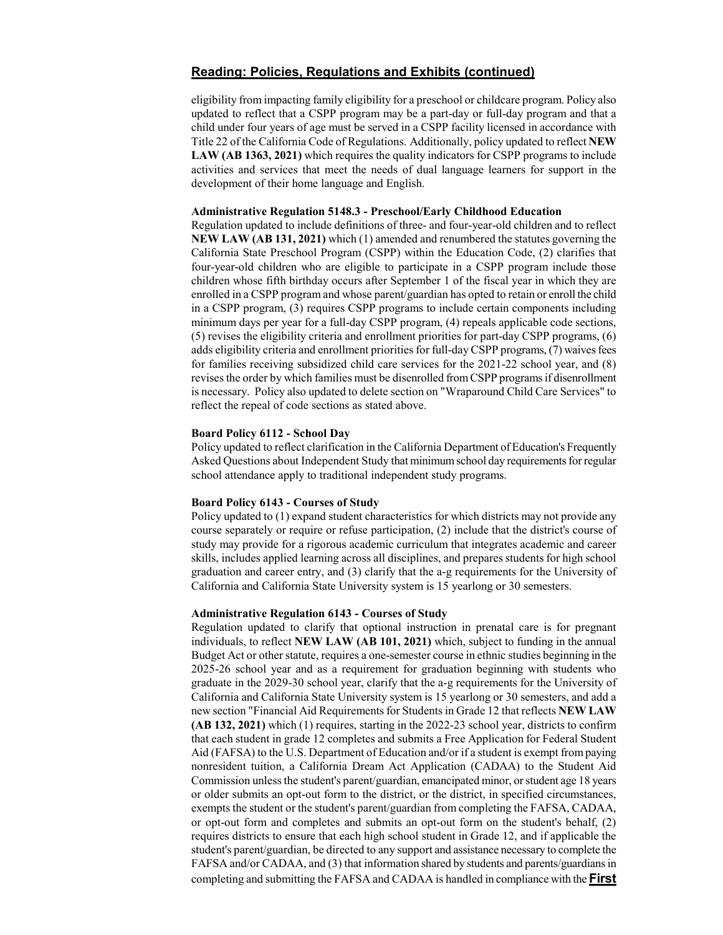eligibility from impacting family eligibility for a preschool or childcare program. Policy also updated to reflect that a CSPP program may be a part-day or full-day program and that a child under four years of age must be served in a CSPP facility licensed in accordance with Title 22 of the California Code of Regulations. Additionally, policy updated to reflect **NEW LAW (AB 1363, 2021)** which requires the quality indicators for CSPP programs to include activities and services that meet the needs of dual language learners for support in the development of their home language and English.

#### **Administrative Regulation 5148.3 - Preschool/Early Childhood Education**

Regulation updated to include definitions of three- and four-year-old children and to reflect **NEW LAW (AB 131, 2021)** which (1) amended and renumbered the statutes governing the California State Preschool Program (CSPP) within the Education Code, (2) clarifies that four-year-old children who are eligible to participate in a CSPP program include those children whose fifth birthday occurs after September 1 of the fiscal year in which they are enrolled in a CSPP program and whose parent/guardian has opted to retain or enroll the child in a CSPP program, (3) requires CSPP programs to include certain components including minimum days per year for a full-day CSPP program, (4) repeals applicable code sections, (5) revises the eligibility criteria and enrollment priorities for part-day CSPP programs, (6) adds eligibility criteria and enrollment priorities for full-day CSPP programs, (7) waives fees for families receiving subsidized child care services for the 2021-22 school year, and (8) revises the order by which families must be disenrolled from CSPP programs if disenrollment is necessary. Policy also updated to delete section on "Wraparound Child Care Services" to reflect the repeal of code sections as stated above.

#### **Board Policy 6112 - School Day**

Policy updated to reflect clarification in the California Department of Education's Frequently Asked Questions about Independent Study that minimum school day requirements for regular school attendance apply to traditional independent study programs.

# **Board Policy 6143 - Courses of Study**

Policy updated to (1) expand student characteristics for which districts may not provide any course separately or require or refuse participation, (2) include that the district's course of study may provide for a rigorous academic curriculum that integrates academic and career skills, includes applied learning across all disciplines, and prepares students for high school graduation and career entry, and (3) clarify that the a-g requirements for the University of California and California State University system is 15 yearlong or 30 semesters.

### **Administrative Regulation 6143 - Courses of Study**

Regulation updated to clarify that optional instruction in prenatal care is for pregnant individuals, to reflect **NEW LAW (AB 101, 2021)** which, subject to funding in the annual Budget Act or other statute, requires a one-semester course in ethnic studies beginning in the 2025-26 school year and as a requirement for graduation beginning with students who graduate in the 2029-30 school year, clarify that the a-g requirements for the University of California and California State University system is 15 yearlong or 30 semesters, and add a new section "Financial Aid Requirements for Students in Grade 12 that reflects **NEW LAW (AB 132, 2021)** which (1) requires, starting in the 2022-23 school year, districts to confirm that each student in grade 12 completes and submits a Free Application for Federal Student Aid (FAFSA) to the U.S. Department of Education and/or if a student is exempt from paying nonresident tuition, a California Dream Act Application (CADAA) to the Student Aid Commission unless the student's parent/guardian, emancipated minor, or student age 18 years or older submits an opt-out form to the district, or the district, in specified circumstances, exempts the student or the student's parent/guardian from completing the FAFSA, CADAA, or opt-out form and completes and submits an opt-out form on the student's behalf, (2) requires districts to ensure that each high school student in Grade 12, and if applicable the student's parent/guardian, be directed to any support and assistance necessary to complete the FAFSA and/or CADAA, and (3) that information shared by students and parents/guardians in completing and submitting the FAFSA and CADAA is handled in compliance with the **First**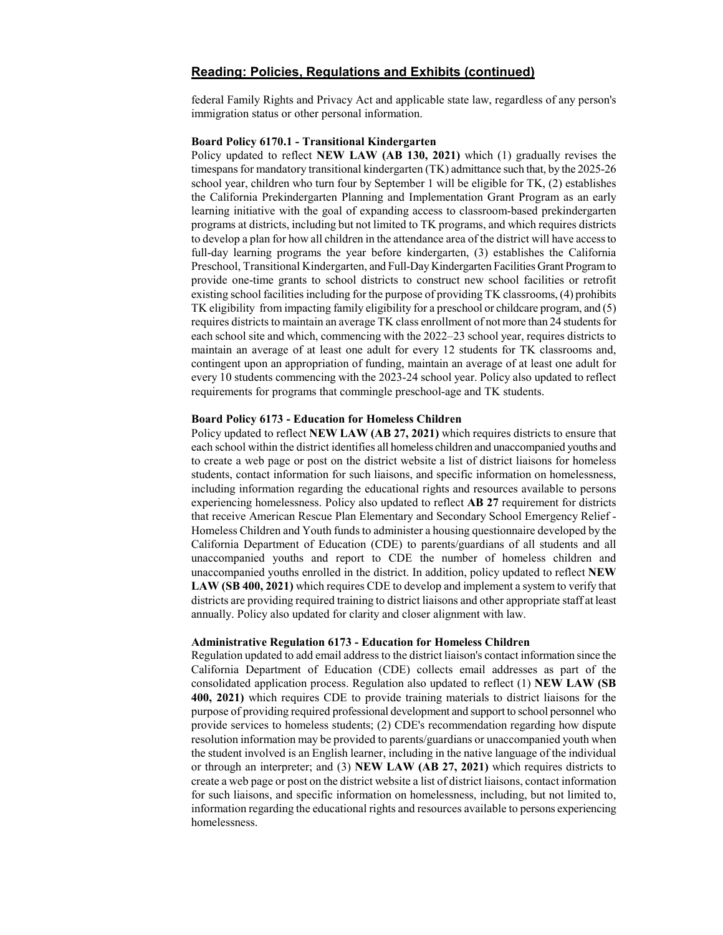federal Family Rights and Privacy Act and applicable state law, regardless of any person's immigration status or other personal information.

# **Board Policy 6170.1 - Transitional Kindergarten**

Policy updated to reflect **NEW LAW (AB 130, 2021)** which (1) gradually revises the timespans for mandatory transitional kindergarten (TK) admittance such that, by the 2025-26 school year, children who turn four by September 1 will be eligible for TK, (2) establishes the California Prekindergarten Planning and Implementation Grant Program as an early learning initiative with the goal of expanding access to classroom-based prekindergarten programs at districts, including but not limited to TK programs, and which requires districts to develop a plan for how all children in the attendance area of the district will have access to full-day learning programs the year before kindergarten, (3) establishes the California Preschool, Transitional Kindergarten, and Full-Day Kindergarten Facilities Grant Program to provide one-time grants to school districts to construct new school facilities or retrofit existing school facilities including for the purpose of providing TK classrooms, (4) prohibits TK eligibility from impacting family eligibility for a preschool or childcare program, and (5) requires districts to maintain an average TK class enrollment of not more than 24 students for each school site and which, commencing with the 2022–23 school year, requires districts to maintain an average of at least one adult for every 12 students for TK classrooms and, contingent upon an appropriation of funding, maintain an average of at least one adult for every 10 students commencing with the 2023-24 school year. Policy also updated to reflect requirements for programs that commingle preschool-age and TK students.

## **Board Policy 6173 - Education for Homeless Children**

Policy updated to reflect **NEW LAW (AB 27, 2021)** which requires districts to ensure that each school within the district identifies all homeless children and unaccompanied youths and to create a web page or post on the district website a list of district liaisons for homeless students, contact information for such liaisons, and specific information on homelessness, including information regarding the educational rights and resources available to persons experiencing homelessness. Policy also updated to reflect **AB 27** requirement for districts that receive American Rescue Plan Elementary and Secondary School Emergency Relief - Homeless Children and Youth funds to administer a housing questionnaire developed by the California Department of Education (CDE) to parents/guardians of all students and all unaccompanied youths and report to CDE the number of homeless children and unaccompanied youths enrolled in the district. In addition, policy updated to reflect **NEW LAW (SB 400, 2021)** which requires CDE to develop and implement a system to verify that districts are providing required training to district liaisons and other appropriate staff at least annually. Policy also updated for clarity and closer alignment with law.

#### **Administrative Regulation 6173 - Education for Homeless Children**

Regulation updated to add email address to the district liaison's contact information since the California Department of Education (CDE) collects email addresses as part of the consolidated application process. Regulation also updated to reflect (1) **NEW LAW (SB 400, 2021)** which requires CDE to provide training materials to district liaisons for the purpose of providing required professional development and support to school personnel who provide services to homeless students; (2) CDE's recommendation regarding how dispute resolution information may be provided to parents/guardians or unaccompanied youth when the student involved is an English learner, including in the native language of the individual or through an interpreter; and (3) **NEW LAW (AB 27, 2021)** which requires districts to create a web page or post on the district website a list of district liaisons, contact information for such liaisons, and specific information on homelessness, including, but not limited to, information regarding the educational rights and resources available to persons experiencing homelessness.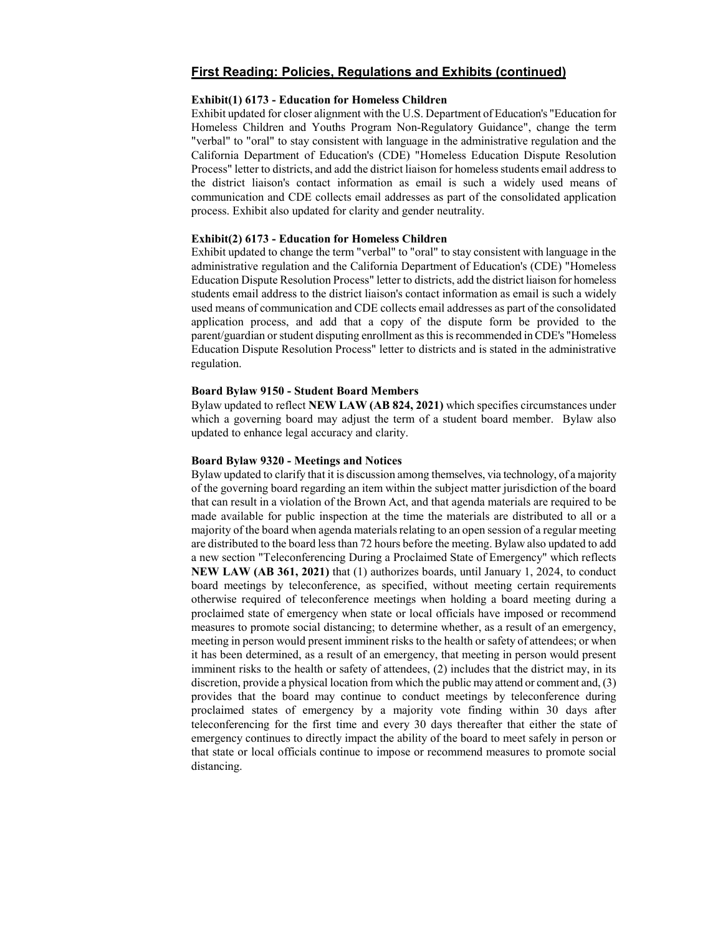# **Exhibit(1) 6173 - Education for Homeless Children**

Exhibit updated for closer alignment with the U.S. Department of Education's "Education for Homeless Children and Youths Program Non-Regulatory Guidance", change the term "verbal" to "oral" to stay consistent with language in the administrative regulation and the California Department of Education's (CDE) "Homeless Education Dispute Resolution Process" letter to districts, and add the district liaison for homeless students email address to the district liaison's contact information as email is such a widely used means of communication and CDE collects email addresses as part of the consolidated application process. Exhibit also updated for clarity and gender neutrality.

## **Exhibit(2) 6173 - Education for Homeless Children**

Exhibit updated to change the term "verbal" to "oral" to stay consistent with language in the administrative regulation and the California Department of Education's (CDE) "Homeless Education Dispute Resolution Process" letter to districts, add the district liaison for homeless students email address to the district liaison's contact information as email is such a widely used means of communication and CDE collects email addresses as part of the consolidated application process, and add that a copy of the dispute form be provided to the parent/guardian or student disputing enrollment as this is recommended in CDE's "Homeless Education Dispute Resolution Process" letter to districts and is stated in the administrative regulation.

#### **Board Bylaw 9150 - Student Board Members**

Bylaw updated to reflect **NEW LAW (AB 824, 2021)** which specifies circumstances under which a governing board may adjust the term of a student board member. Bylaw also updated to enhance legal accuracy and clarity.

#### **Board Bylaw 9320 - Meetings and Notices**

Bylaw updated to clarify that it is discussion among themselves, via technology, of a majority of the governing board regarding an item within the subject matter jurisdiction of the board that can result in a violation of the Brown Act, and that agenda materials are required to be made available for public inspection at the time the materials are distributed to all or a majority of the board when agenda materials relating to an open session of a regular meeting are distributed to the board less than 72 hours before the meeting. Bylaw also updated to add a new section "Teleconferencing During a Proclaimed State of Emergency" which reflects **NEW LAW (AB 361, 2021)** that (1) authorizes boards, until January 1, 2024, to conduct board meetings by teleconference, as specified, without meeting certain requirements otherwise required of teleconference meetings when holding a board meeting during a proclaimed state of emergency when state or local officials have imposed or recommend measures to promote social distancing; to determine whether, as a result of an emergency, meeting in person would present imminent risks to the health or safety of attendees; or when it has been determined, as a result of an emergency, that meeting in person would present imminent risks to the health or safety of attendees, (2) includes that the district may, in its discretion, provide a physical location from which the public may attend or comment and, (3) provides that the board may continue to conduct meetings by teleconference during proclaimed states of emergency by a majority vote finding within 30 days after teleconferencing for the first time and every 30 days thereafter that either the state of emergency continues to directly impact the ability of the board to meet safely in person or that state or local officials continue to impose or recommend measures to promote social distancing.